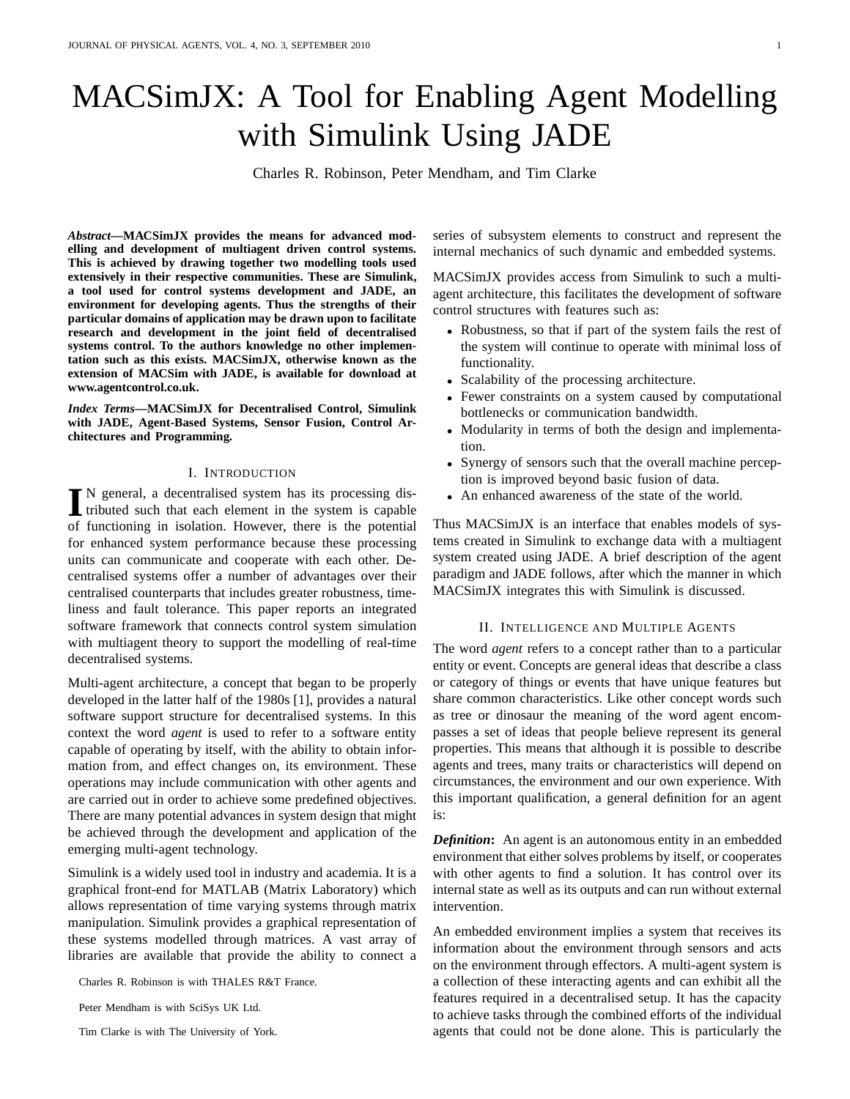# MACSimJX: A Tool for Enabling Agent Modelling with Simulink Using JADE

Charles R. Robinson, Peter Mendham, and Tim Clarke

*Abstract***—MACSimJX provides the means for advanced modelling and development of multiagent driven control systems. This is achieved by drawing together two modelling tools used extensively in their respective communities. These are Simulink, a tool used for control systems development and JADE, an environment for developing agents. Thus the strengths of their particular domains of application may be drawn upon to facilitate research and development in the joint field of decentralised systems control. To the authors knowledge no other implementation such as this exists. MACSimJX, otherwise known as the extension of MACSim with JADE, is available for download at www.agentcontrol.co.uk.**

*Index Terms***—MACSimJX for Decentralised Control, Simulink with JADE, Agent-Based Systems, Sensor Fusion, Control Architectures and Programming.**

## I. INTRODUCTION

I<sup>N</sup> general, a decentralised system has its processing distributed such that each element in the system is capable tributed such that each element in the system is capable of functioning in isolation. However, there is the potential for enhanced system performance because these processing units can communicate and cooperate with each other. Decentralised systems offer a number of advantages over their centralised counterparts that includes greater robustness, timeliness and fault tolerance. This paper reports an integrated software framework that connects control system simulation with multiagent theory to support the modelling of real-time decentralised systems.

Multi-agent architecture, a concept that began to be properly developed in the latter half of the 1980s [1], provides a natural software support structure for decentralised systems. In this context the word *agent* is used to refer to a software entity capable of operating by itself, with the ability to obtain information from, and effect changes on, its environment. These operations may include communication with other agents and are carried out in order to achieve some predefined objectives. There are many potential advances in system design that might be achieved through the development and application of the emerging multi-agent technology.

Simulink is a widely used tool in industry and academia. It is a graphical front-end for MATLAB (Matrix Laboratory) which allows representation of time varying systems through matrix manipulation. Simulink provides a graphical representation of these systems modelled through matrices. A vast array of libraries are available that provide the ability to connect a

Charles R. Robinson is with THALES R&T France.

Peter Mendham is with SciSys UK Ltd.

Tim Clarke is with The University of York.

series of subsystem elements to construct and represent the internal mechanics of such dynamic and embedded systems.

MACSimJX provides access from Simulink to such a multiagent architecture, this facilitates the development of software control structures with features such as:

- Robustness, so that if part of the system fails the rest of the system will continue to operate with minimal loss of functionality.
- Scalability of the processing architecture.
- Fewer constraints on a system caused by computational bottlenecks or communication bandwidth.
- Modularity in terms of both the design and implementation.
- Synergy of sensors such that the overall machine perception is improved beyond basic fusion of data.
- An enhanced awareness of the state of the world.

Thus MACSimJX is an interface that enables models of systems created in Simulink to exchange data with a multiagent system created using JADE. A brief description of the agent paradigm and JADE follows, after which the manner in which MACSimJX integrates this with Simulink is discussed.

## II. INTELLIGENCE AND MULTIPLE AGENTS

The word *agent* refers to a concept rather than to a particular entity or event. Concepts are general ideas that describe a class or category of things or events that have unique features but share common characteristics. Like other concept words such as tree or dinosaur the meaning of the word agent encompasses a set of ideas that people believe represent its general properties. This means that although it is possible to describe agents and trees, many traits or characteristics will depend on circumstances, the environment and our own experience. With this important qualification, a general definition for an agent is:

*Definition***:** An agent is an autonomous entity in an embedded environment that either solves problems by itself, or cooperates with other agents to find a solution. It has control over its internal state as well as its outputs and can run without external intervention.

An embedded environment implies a system that receives its information about the environment through sensors and acts on the environment through effectors. A multi-agent system is a collection of these interacting agents and can exhibit all the features required in a decentralised setup. It has the capacity to achieve tasks through the combined efforts of the individual agents that could not be done alone. This is particularly the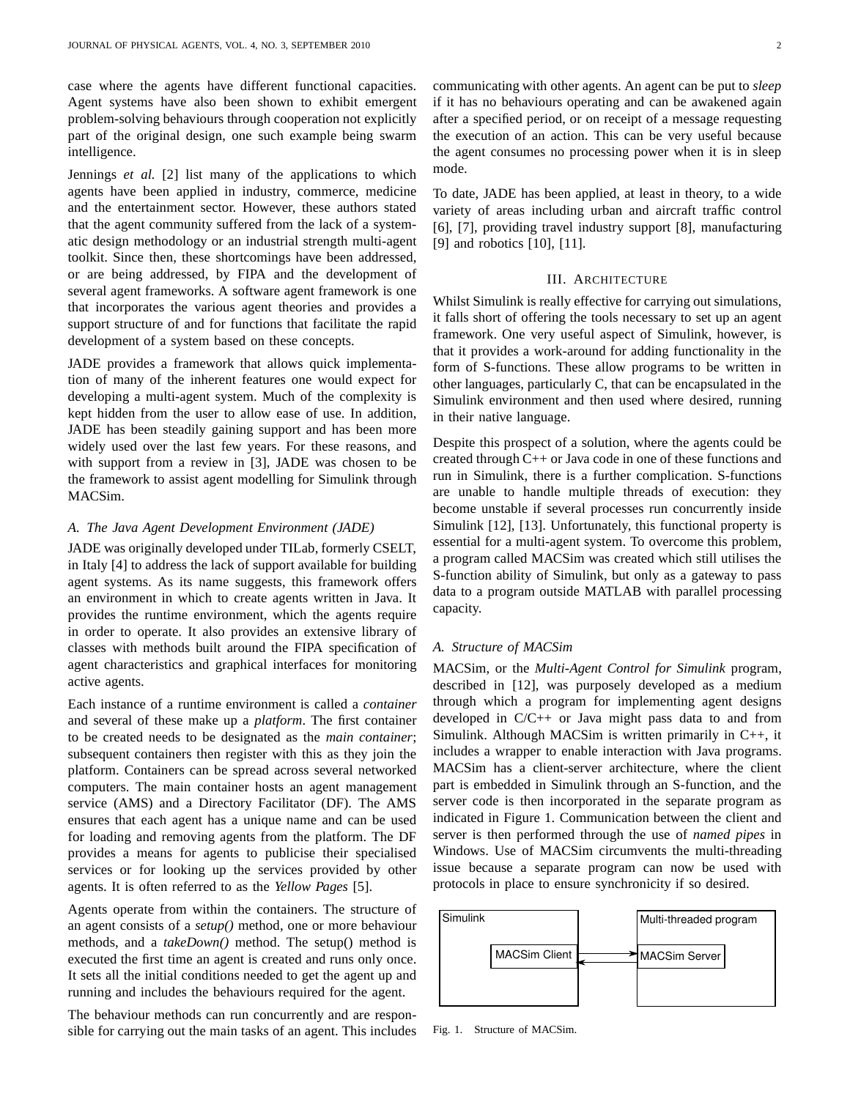case where the agents have different functional capacities. Agent systems have also been shown to exhibit emergent problem-solving behaviours through cooperation not explicitly part of the original design, one such example being swarm intelligence.

Jennings *et al.* [2] list many of the applications to which agents have been applied in industry, commerce, medicine and the entertainment sector. However, these authors stated that the agent community suffered from the lack of a systematic design methodology or an industrial strength multi-agent toolkit. Since then, these shortcomings have been addressed, or are being addressed, by FIPA and the development of several agent frameworks. A software agent framework is one that incorporates the various agent theories and provides a support structure of and for functions that facilitate the rapid development of a system based on these concepts.

JADE provides a framework that allows quick implementation of many of the inherent features one would expect for developing a multi-agent system. Much of the complexity is kept hidden from the user to allow ease of use. In addition, JADE has been steadily gaining support and has been more widely used over the last few years. For these reasons, and with support from a review in [3], JADE was chosen to be the framework to assist agent modelling for Simulink through MACSim.

## *A. The Java Agent Development Environment (JADE)*

JADE was originally developed under TILab, formerly CSELT, in Italy [4] to address the lack of support available for building agent systems. As its name suggests, this framework offers an environment in which to create agents written in Java. It provides the runtime environment, which the agents require in order to operate. It also provides an extensive library of classes with methods built around the FIPA specification of agent characteristics and graphical interfaces for monitoring active agents.

Each instance of a runtime environment is called a *container* and several of these make up a *platform*. The first container to be created needs to be designated as the *main container*; subsequent containers then register with this as they join the platform. Containers can be spread across several networked computers. The main container hosts an agent management service (AMS) and a Directory Facilitator (DF). The AMS ensures that each agent has a unique name and can be used for loading and removing agents from the platform. The DF provides a means for agents to publicise their specialised services or for looking up the services provided by other agents. It is often referred to as the *Yellow Pages* [5].

Agents operate from within the containers. The structure of an agent consists of a *setup()* method, one or more behaviour methods, and a *takeDown()* method. The setup() method is executed the first time an agent is created and runs only once. It sets all the initial conditions needed to get the agent up and running and includes the behaviours required for the agent.

The behaviour methods can run concurrently and are responsible for carrying out the main tasks of an agent. This includes communicating with other agents. An agent can be put to *sleep* if it has no behaviours operating and can be awakened again after a specified period, or on receipt of a message requesting the execution of an action. This can be very useful because the agent consumes no processing power when it is in sleep mode.

To date, JADE has been applied, at least in theory, to a wide variety of areas including urban and aircraft traffic control [6], [7], providing travel industry support [8], manufacturing [9] and robotics [10], [11].

# III. ARCHITECTURE

Whilst Simulink is really effective for carrying out simulations, it falls short of offering the tools necessary to set up an agent framework. One very useful aspect of Simulink, however, is that it provides a work-around for adding functionality in the form of S-functions. These allow programs to be written in other languages, particularly C, that can be encapsulated in the Simulink environment and then used where desired, running in their native language.

Despite this prospect of a solution, where the agents could be created through C++ or Java code in one of these functions and run in Simulink, there is a further complication. S-functions are unable to handle multiple threads of execution: they become unstable if several processes run concurrently inside Simulink [12], [13]. Unfortunately, this functional property is essential for a multi-agent system. To overcome this problem, a program called MACSim was created which still utilises the S-function ability of Simulink, but only as a gateway to pass data to a program outside MATLAB with parallel processing capacity.

## *A. Structure of MACSim*

MACSim, or the *Multi-Agent Control for Simulink* program, described in [12], was purposely developed as a medium through which a program for implementing agent designs developed in C/C++ or Java might pass data to and from Simulink. Although MACSim is written primarily in C++, it includes a wrapper to enable interaction with Java programs. MACSim has a client-server architecture, where the client part is embedded in Simulink through an S-function, and the server code is then incorporated in the separate program as indicated in Figure 1. Communication between the client and server is then performed through the use of *named pipes* in Windows. Use of MACSim circumvents the multi-threading issue because a separate program can now be used with protocols in place to ensure synchronicity if so desired.



Fig. 1. Structure of MACSim.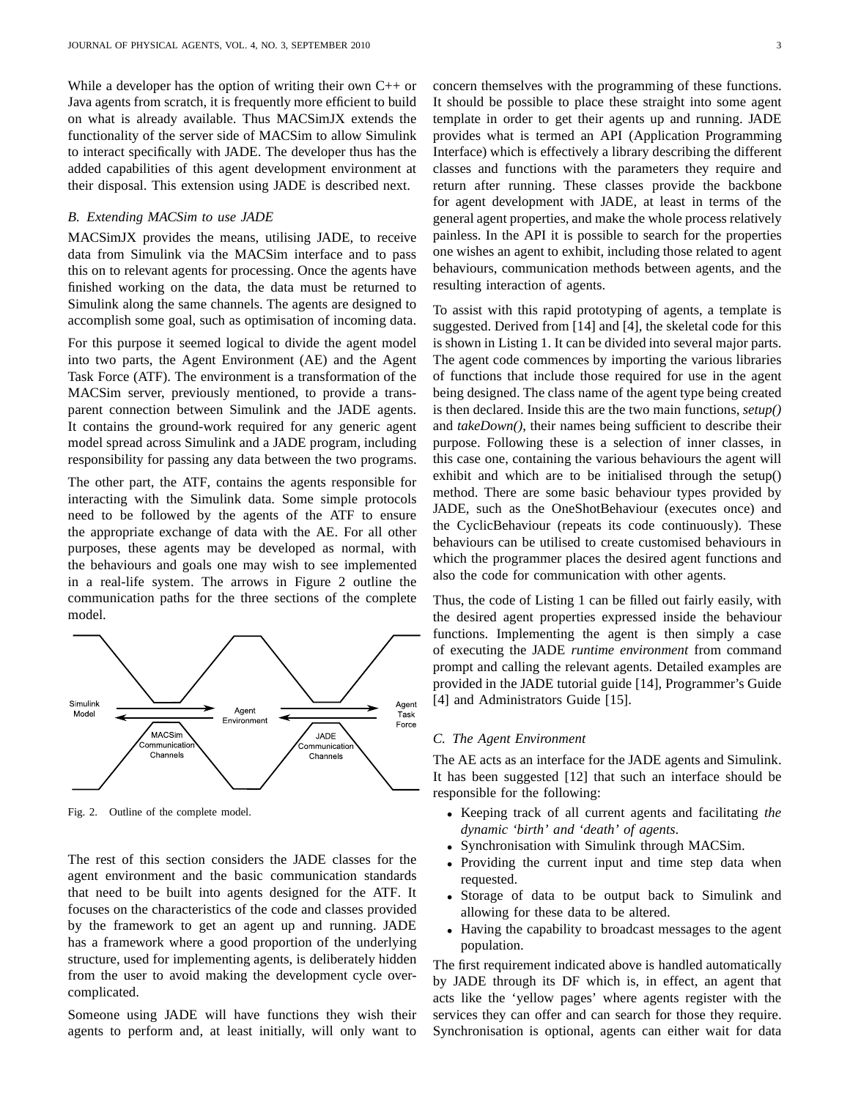While a developer has the option of writing their own  $C_{++}$  or Java agents from scratch, it is frequently more efficient to build on what is already available. Thus MACSimJX extends the functionality of the server side of MACSim to allow Simulink to interact specifically with JADE. The developer thus has the added capabilities of this agent development environment at their disposal. This extension using JADE is described next.

# *B. Extending MACSim to use JADE*

MACSimJX provides the means, utilising JADE, to receive data from Simulink via the MACSim interface and to pass this on to relevant agents for processing. Once the agents have finished working on the data, the data must be returned to Simulink along the same channels. The agents are designed to accomplish some goal, such as optimisation of incoming data.

For this purpose it seemed logical to divide the agent model into two parts, the Agent Environment (AE) and the Agent Task Force (ATF). The environment is a transformation of the MACSim server, previously mentioned, to provide a transparent connection between Simulink and the JADE agents. It contains the ground-work required for any generic agent model spread across Simulink and a JADE program, including responsibility for passing any data between the two programs.

The other part, the ATF, contains the agents responsible for interacting with the Simulink data. Some simple protocols need to be followed by the agents of the ATF to ensure the appropriate exchange of data with the AE. For all other purposes, these agents may be developed as normal, with the behaviours and goals one may wish to see implemented in a real-life system. The arrows in Figure 2 outline the communication paths for the three sections of the complete model.



Fig. 2. Outline of the complete model.

The rest of this section considers the JADE classes for the agent environment and the basic communication standards that need to be built into agents designed for the ATF. It focuses on the characteristics of the code and classes provided by the framework to get an agent up and running. JADE has a framework where a good proportion of the underlying structure, used for implementing agents, is deliberately hidden from the user to avoid making the development cycle overcomplicated.

Someone using JADE will have functions they wish their agents to perform and, at least initially, will only want to

concern themselves with the programming of these functions. It should be possible to place these straight into some agent template in order to get their agents up and running. JADE provides what is termed an API (Application Programming Interface) which is effectively a library describing the different classes and functions with the parameters they require and return after running. These classes provide the backbone for agent development with JADE, at least in terms of the general agent properties, and make the whole process relatively painless. In the API it is possible to search for the properties one wishes an agent to exhibit, including those related to agent behaviours, communication methods between agents, and the resulting interaction of agents.

To assist with this rapid prototyping of agents, a template is suggested. Derived from [14] and [4], the skeletal code for this is shown in Listing 1. It can be divided into several major parts. The agent code commences by importing the various libraries of functions that include those required for use in the agent being designed. The class name of the agent type being created is then declared. Inside this are the two main functions, *setup()* and *takeDown()*, their names being sufficient to describe their purpose. Following these is a selection of inner classes, in this case one, containing the various behaviours the agent will exhibit and which are to be initialised through the setup() method. There are some basic behaviour types provided by JADE, such as the OneShotBehaviour (executes once) and the CyclicBehaviour (repeats its code continuously). These behaviours can be utilised to create customised behaviours in which the programmer places the desired agent functions and also the code for communication with other agents.

Thus, the code of Listing 1 can be filled out fairly easily, with the desired agent properties expressed inside the behaviour functions. Implementing the agent is then simply a case of executing the JADE *runtime environment* from command prompt and calling the relevant agents. Detailed examples are provided in the JADE tutorial guide [14], Programmer's Guide [4] and Administrators Guide [15].

#### *C. The Agent Environment*

The AE acts as an interface for the JADE agents and Simulink. It has been suggested [12] that such an interface should be responsible for the following:

- Keeping track of all current agents and facilitating *the dynamic 'birth' and 'death' of agents*.
- Synchronisation with Simulink through MACSim.
- Providing the current input and time step data when requested.
- Storage of data to be output back to Simulink and allowing for these data to be altered.
- Having the capability to broadcast messages to the agent population.

The first requirement indicated above is handled automatically by JADE through its DF which is, in effect, an agent that acts like the 'yellow pages' where agents register with the services they can offer and can search for those they require. Synchronisation is optional, agents can either wait for data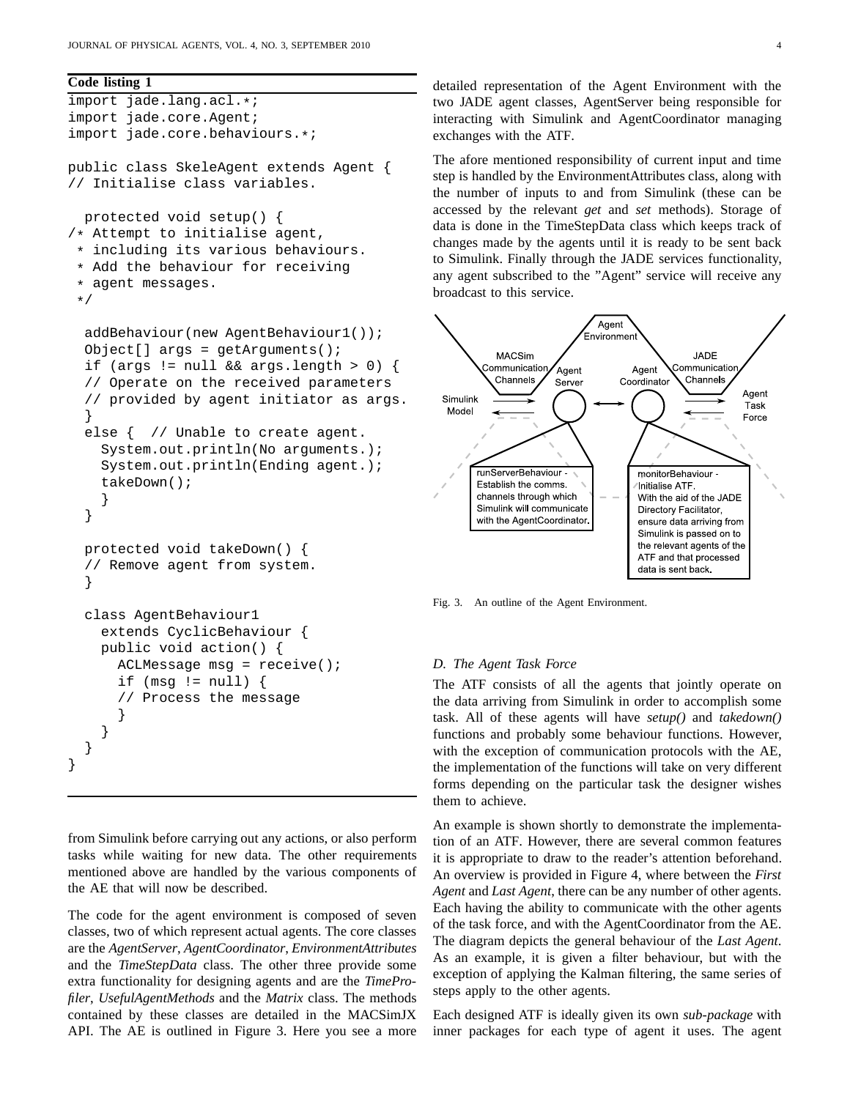**Code listing 1**

```
import jade.lang.acl.*;
import jade.core.Agent;
import jade.core.behaviours.*;
public class SkeleAgent extends Agent {
// Initialise class variables.
 protected void setup() {
/* Attempt to initialise agent,
 * including its various behaviours.
 * Add the behaviour for receiving
 * agent messages.
 */
 addBehaviour(new AgentBehaviour1());
  Object[] args = getArguments();
  if (args != null && args.length > 0) {
  // Operate on the received parameters
  // provided by agent initiator as args.
  }
  else { // Unable to create agent.
    System.out.println(No arguments.);
    System.out.println(Ending agent.);
    takeDown();
    }
  }
 protected void takeDown() {
  // Remove agent from system.
  }
  class AgentBehaviour1
    extends CyclicBehaviour {
    public void action() {
      ACLMessage msg = receive();
      if (msq := null) {
      // Process the message
      }
    }
  }
}
```
from Simulink before carrying out any actions, or also perform tasks while waiting for new data. The other requirements mentioned above are handled by the various components of the AE that will now be described.

The code for the agent environment is composed of seven classes, two of which represent actual agents. The core classes are the *AgentServer*, *AgentCoordinator*, *EnvironmentAttributes* and the *TimeStepData* class. The other three provide some extra functionality for designing agents and are the *TimeProfiler*, *UsefulAgentMethods* and the *Matrix* class. The methods contained by these classes are detailed in the MACSimJX API. The AE is outlined in Figure 3. Here you see a more detailed representation of the Agent Environment with the two JADE agent classes, AgentServer being responsible for interacting with Simulink and AgentCoordinator managing exchanges with the ATF.

The afore mentioned responsibility of current input and time step is handled by the EnvironmentAttributes class, along with the number of inputs to and from Simulink (these can be accessed by the relevant *get* and *set* methods). Storage of data is done in the TimeStepData class which keeps track of changes made by the agents until it is ready to be sent back to Simulink. Finally through the JADE services functionality, any agent subscribed to the "Agent" service will receive any broadcast to this service.



Fig. 3. An outline of the Agent Environment.

# *D. The Agent Task Force*

The ATF consists of all the agents that jointly operate on the data arriving from Simulink in order to accomplish some task. All of these agents will have *setup()* and *takedown()* functions and probably some behaviour functions. However, with the exception of communication protocols with the AE, the implementation of the functions will take on very different forms depending on the particular task the designer wishes them to achieve.

An example is shown shortly to demonstrate the implementation of an ATF. However, there are several common features it is appropriate to draw to the reader's attention beforehand. An overview is provided in Figure 4, where between the *First Agent* and *Last Agent*, there can be any number of other agents. Each having the ability to communicate with the other agents of the task force, and with the AgentCoordinator from the AE. The diagram depicts the general behaviour of the *Last Agent*. As an example, it is given a filter behaviour, but with the exception of applying the Kalman filtering, the same series of steps apply to the other agents.

Each designed ATF is ideally given its own *sub-package* with inner packages for each type of agent it uses. The agent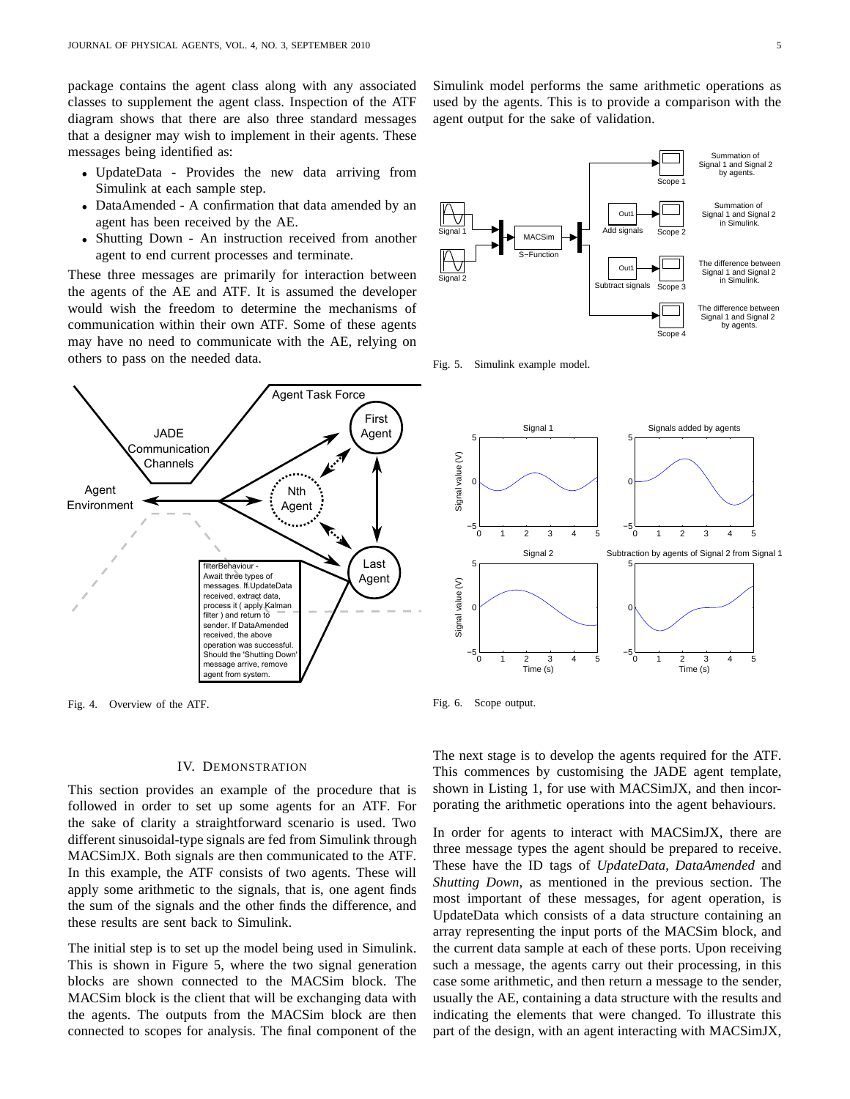package contains the agent class along with any associated classes to supplement the agent class. Inspection of the ATF diagram shows that there are also three standard messages that a designer may wish to implement in their agents. These messages being identified as:

- UpdateData Provides the new data arriving from Simulink at each sample step.
- DataAmended A confirmation that data amended by an agent has been received by the AE.
- Shutting Down An instruction received from another agent to end current processes and terminate.

These three messages are primarily for interaction between the agents of the AE and ATF. It is assumed the developer would wish the freedom to determine the mechanisms of communication within their own ATF. Some of these agents may have no need to communicate with the AE, relying on others to pass on the needed data.



Fig. 4. Overview of the ATF.

## IV. DEMONSTRATION

This section provides an example of the procedure that is followed in order to set up some agents for an ATF. For the sake of clarity a straightforward scenario is used. Two different sinusoidal-type signals are fed from Simulink through MACSimJX. Both signals are then communicated to the ATF. In this example, the ATF consists of two agents. These will apply some arithmetic to the signals, that is, one agent finds the sum of the signals and the other finds the difference, and these results are sent back to Simulink.

The initial step is to set up the model being used in Simulink. This is shown in Figure 5, where the two signal generation blocks are shown connected to the MACSim block. The MACSim block is the client that will be exchanging data with the agents. The outputs from the MACSim block are then connected to scopes for analysis. The final component of the

Simulink model performs the same arithmetic operations as used by the agents. This is to provide a comparison with the agent output for the sake of validation.



Fig. 5. Simulink example model.



Fig. 6. Scope output.

The next stage is to develop the agents required for the ATF. This commences by customising the JADE agent template, shown in Listing 1, for use with MACSimJX, and then incorporating the arithmetic operations into the agent behaviours.

In order for agents to interact with MACSimJX, there are three message types the agent should be prepared to receive. These have the ID tags of *UpdateData*, *DataAmended* and *Shutting Down*, as mentioned in the previous section. The most important of these messages, for agent operation, is UpdateData which consists of a data structure containing an array representing the input ports of the MACSim block, and the current data sample at each of these ports. Upon receiving such a message, the agents carry out their processing, in this case some arithmetic, and then return a message to the sender, usually the AE, containing a data structure with the results and indicating the elements that were changed. To illustrate this part of the design, with an agent interacting with MACSimJX,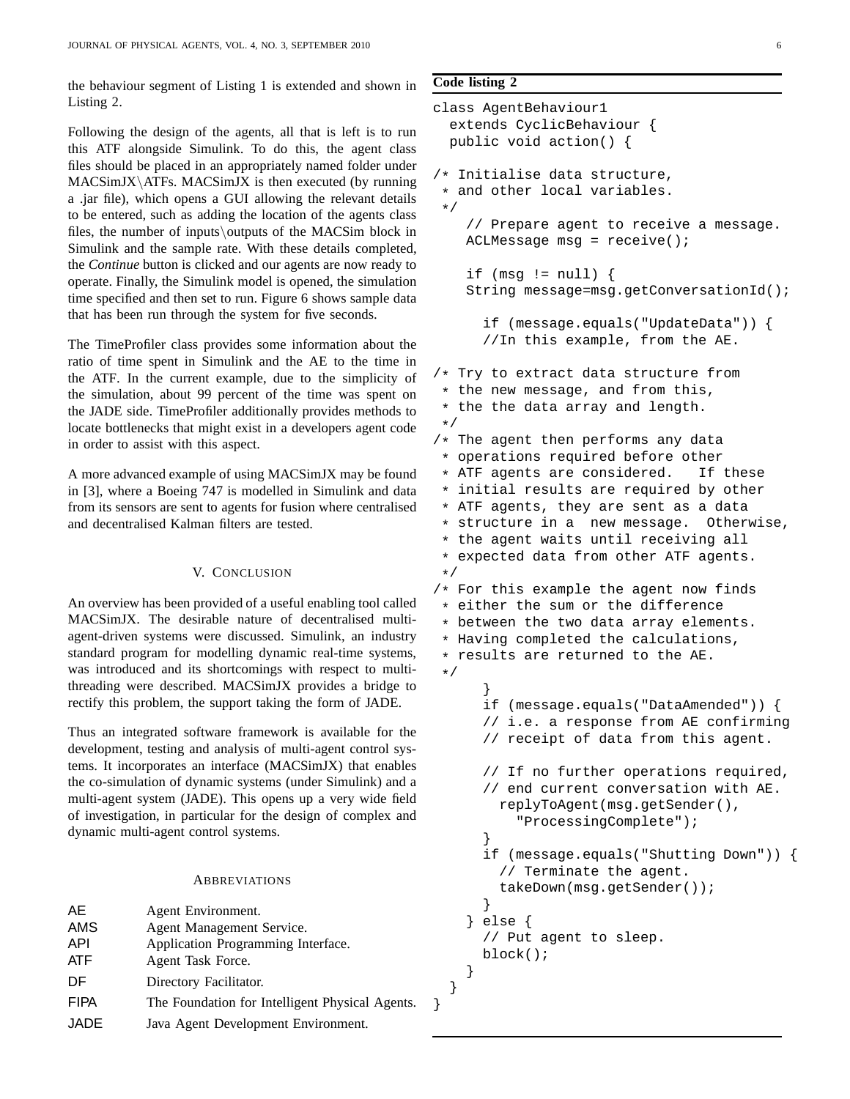the behaviour segment of Listing 1 is extended and shown in Listing 2.

Following the design of the agents, all that is left is to run this ATF alongside Simulink. To do this, the agent class files should be placed in an appropriately named folder under  $MACSimJX\ATFs$ . MACSimJX is then executed (by running a .jar file), which opens a GUI allowing the relevant details to be entered, such as adding the location of the agents class files, the number of inputs\outputs of the MACSim block in Simulink and the sample rate. With these details completed, the *Continue* button is clicked and our agents are now ready to operate. Finally, the Simulink model is opened, the simulation time specified and then set to run. Figure 6 shows sample data that has been run through the system for five seconds.

The TimeProfiler class provides some information about the ratio of time spent in Simulink and the AE to the time in the ATF. In the current example, due to the simplicity of the simulation, about 99 percent of the time was spent on the JADE side. TimeProfiler additionally provides methods to locate bottlenecks that might exist in a developers agent code in order to assist with this aspect.

A more advanced example of using MACSimJX may be found in [3], where a Boeing 747 is modelled in Simulink and data from its sensors are sent to agents for fusion where centralised and decentralised Kalman filters are tested.

# V. CONCLUSION

An overview has been provided of a useful enabling tool called MACSimJX. The desirable nature of decentralised multiagent-driven systems were discussed. Simulink, an industry standard program for modelling dynamic real-time systems, was introduced and its shortcomings with respect to multithreading were described. MACSimJX provides a bridge to rectify this problem, the support taking the form of JADE.

Thus an integrated software framework is available for the development, testing and analysis of multi-agent control systems. It incorporates an interface (MACSimJX) that enables the co-simulation of dynamic systems (under Simulink) and a multi-agent system (JADE). This opens up a very wide field of investigation, in particular for the design of complex and dynamic multi-agent control systems.

## **ABBREVIATIONS**

| AE.         | Agent Environment.                              |
|-------------|-------------------------------------------------|
| AMS         | Agent Management Service.                       |
| API         | Application Programming Interface.              |
| <b>ATF</b>  | Agent Task Force.                               |
| DF          | Directory Facilitator.                          |
| <b>FIPA</b> | The Foundation for Intelligent Physical Agents. |
| <b>JADE</b> | Java Agent Development Environment.             |

# **Code listing 2**

```
class AgentBehaviour1
  extends CyclicBehaviour {
 public void action() {
/* Initialise data structure,
 * and other local variables.
 */
    // Prepare agent to receive a message.
    ACLMessage msg = receive();
    if (msg := null) {
    String message=msg.getConversationId();
      if (message.equals("UpdateData")) {
      //In this example, from the AE.
/* Try to extract data structure from
 * the new message, and from this,
 * the the data array and length.
 */
/* The agent then performs any data
 * operations required before other
 * ATF agents are considered. If these
 * initial results are required by other
 * ATF agents, they are sent as a data
 * structure in a new message. Otherwise,
 * the agent waits until receiving all
 * expected data from other ATF agents.
 */
/* For this example the agent now finds
 * either the sum or the difference
 * between the two data array elements.
 * Having completed the calculations,
 * results are returned to the AE.
 */
      }
      if (message.equals("DataAmended")) {
      // i.e. a response from AE confirming
      // receipt of data from this agent.
      // If no further operations required,
      // end current conversation with AE.
        replyToAgent(msg.getSender(),
          "ProcessingComplete");
      }
      if (message.equals("Shutting Down")) {
        // Terminate the agent.
        takeDown(msg.getSender());
      }
    } else {
      // Put agent to sleep.
     block();
    }
  }
}
```